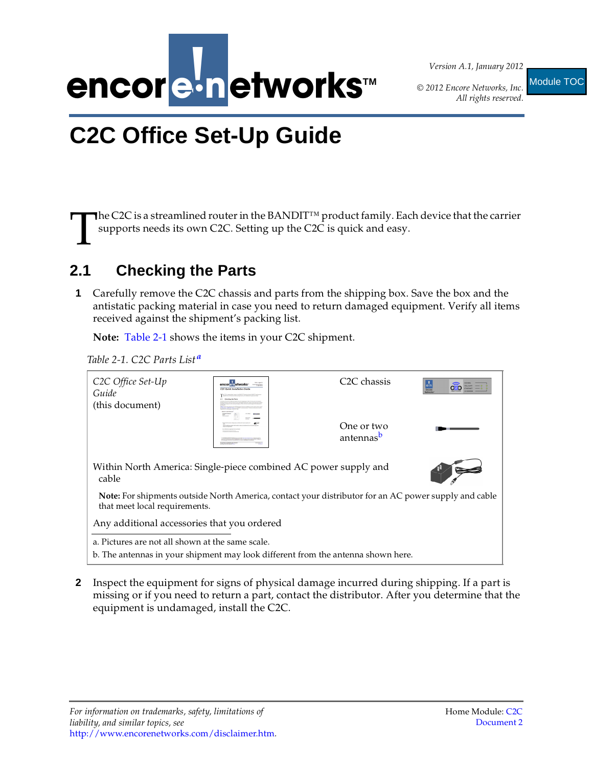

*Version A.1, January 2012*

*© 2012 Encore Networks, Inc.*

*All rights reserved.* Module TOC

# <span id="page-0-4"></span><span id="page-0-3"></span>**C2C Office Set-Up Guide**

The C2C is a streamlined router in the BANDIT™ product family. Each device that the carrier supports needs its own C2C. Setting up the C2C is quick and easy. T

## **2.1 Checking the Parts**

**1** Carefully remove the C2C chassis and parts from the shipping box. Save the box and the antistatic packing material in case you need to return damaged equipment. Verify all items received against the shipment's packing list.

**Note:** [Table 2-1](#page-0-0) shows the items in your C2C shipment.

<span id="page-0-0"></span>*Table 2-1. C2C Parts List[a](#page-0-1)*

| C2C Office Set-Up<br>Guide<br>(this document)                                                                                         | C2C Quick Installation Cavid | C <sub>2</sub> C chassis            | Encore |
|---------------------------------------------------------------------------------------------------------------------------------------|------------------------------|-------------------------------------|--------|
|                                                                                                                                       |                              | One or two<br>antennas <sup>b</sup> |        |
| Within North America: Single-piece combined AC power supply and<br>cable                                                              |                              |                                     |        |
| Note: For shipments outside North America, contact your distributor for an AC power supply and cable<br>that meet local requirements. |                              |                                     |        |
| Any additional accessories that you ordered                                                                                           |                              |                                     |        |
| a. Pictures are not all shown at the same scale.<br>b. The antennas in your shipment may look different from the antenna shown here.  |                              |                                     |        |

<span id="page-0-2"></span><span id="page-0-1"></span>**2** Inspect the equipment for signs of physical damage incurred during shipping. If a part is missing or if you need to return a part, contact the distributor. After you determine that the equipment is undamaged, install the C2C.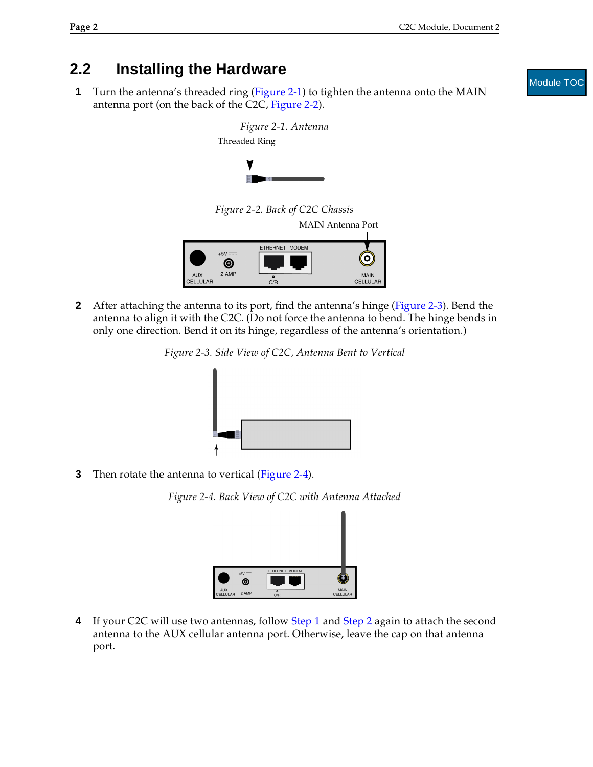### **2.2 Installing the Hardware**

<span id="page-1-4"></span><span id="page-1-0"></span>**1** Turn the antenna's threaded ring [\(Figure 2-1](#page-1-0)) to tighten the antenna onto the MAIN antenna port (on the back of the C2C, [Figure 2-2](#page-1-1)).



*Figure 2-2. Back of C2C Chassis*

MAIN Antenna Port



<span id="page-1-5"></span><span id="page-1-2"></span><span id="page-1-1"></span>**2** After attaching the antenna to its port, find the antenna's hinge [\(Figure 2-3](#page-1-2)). Bend the antenna to align it with the C2C. (Do not force the antenna to bend. The hinge bends in only one direction. Bend it on its hinge, regardless of the antenna's orientation.)

*Figure 2-3. Side View of C2C, Antenna Bent to Vertical*



<span id="page-1-3"></span>**3** Then rotate the antenna to vertical [\(Figure 2-4](#page-1-3)).





**4** If your C2C will use two antennas, follow [Step 1](#page-1-4) and [Step 2](#page-1-5) again to attach the second antenna to the AUX cellular antenna port. Otherwise, leave the cap on that antenna port.

#### Module TOC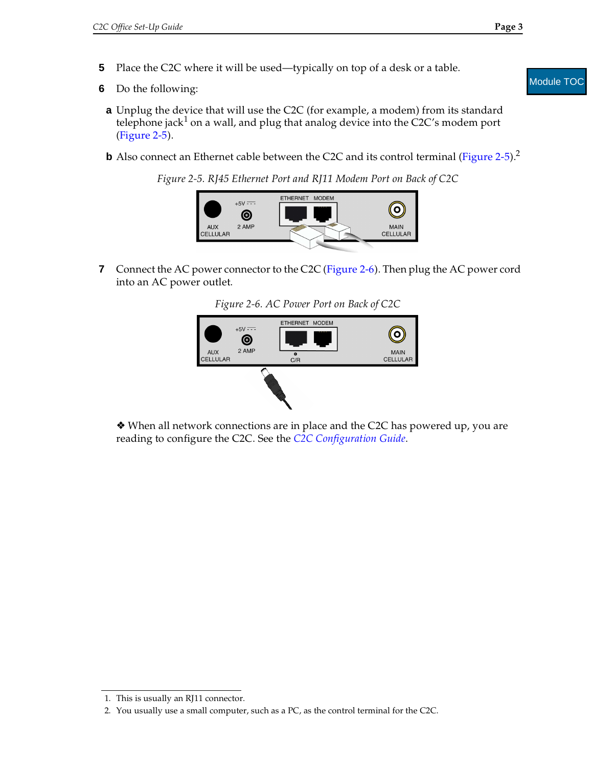- **5** Place the C2C where it will be used—typically on top of a desk or a table.
- <span id="page-2-0"></span>**6** Do the following:
	- **a** Unplug the device that will use the C2C (for example, a modem) from its standard telephone jack<sup>1</sup> on a wall, and plug that analog device into the C2C's modem port ([Figure 2-5\)](#page-2-0).
	- **b** Also connect an Ethernet cable between the C2C and its control terminal [\(Figure 2-5\)](#page-2-0).<sup>2</sup>
		- *Figure 2-5. RJ45 Ethernet Port and RJ11 Modem Port on Back of C2C*



<span id="page-2-1"></span>**7** Connect the AC power connector to the C2C [\(Figure 2-6\)](#page-2-1). Then plug the AC power cord into an AC power outlet.

*Figure 2-6. AC Power Port on Back of C2C* 



❖ When all network connections are in place and the C2C has powered up, you are reading to configure the C2C. See the *C2C Configuration Guide*.

#### Module TOC

<sup>1.</sup> This is usually an RJ11 connector.

<sup>2.</sup> You usually use a small computer, such as a PC, as the control terminal for the C2C.